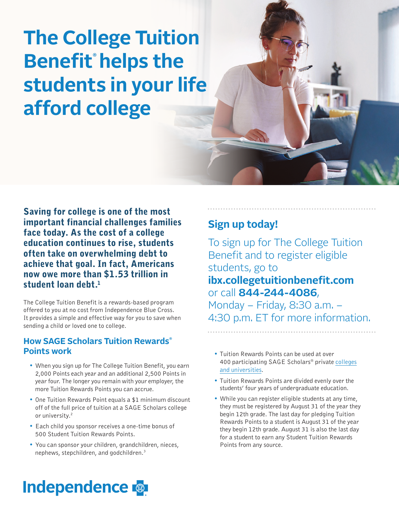# **The College Tuition Benefit® helps the students in your life afford college**

Saving for college is one of the most important financial challenges families face today. As the cost of a college education continues to rise, students often take on overwhelming debt to achieve that goal. In fact, Americans now owe more than \$1.53 trillion in student loan debt.<sup>1</sup>

The College Tuition Benefit is a rewards-based program offered to you at no cost from Independence Blue Cross. It provides a simple and effective way for you to save when sending a child or loved one to college.

### **How SAGE Scholars Tuition Rewards® Points work**

- When you sign up for The College Tuition Benefit, you earn 2,000 Points each year and an additional 2,500 Points in year four. The longer you remain with your employer, the more Tuition Rewards Points you can accrue.
- One Tuition Rewards Point equals a \$1 minimum discount off of the full price of tuition at a SAGE Scholars college or university.<sup>2</sup>
- Each child you sponsor receives a one-time bonus of 500 Student Tuition Rewards Points.
- You can sponsor your children, grandchildren, nieces, nephews, stepchildren, and godchildren.<sup>3</sup>

### **Sign up today!**

To sign up for The College Tuition Benefit and to register eligible students, go to **ibx.collegetuitionbenefit.com** or call **844-244-4086**, Monday – Friday, 8:30 a.m. – 4:30 p.m. ET for more information.

- Tuition Rewards Points can be used at over [400 participating SAGE Scholars](http://ibx.collegetuitionbenefit.com/colleges.cfm)® private colleges and universities.
- Tuition Rewards Points are divided evenly over the students' four years of undergraduate education.
- While you can register eligible students at any time, they must be registered by August 31 of the year they begin 12th grade. The last day for pledging Tuition Rewards Points to a student is August 31 of the year they begin 12th grade. August 31 is also the last day for a student to earn any Student Tuition Rewards Points from any source.

## **Independence**